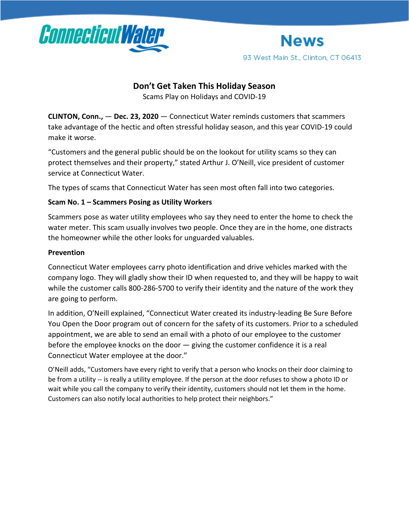



# **Don't Get Taken This Holiday Season**

Scams Play on Holidays and COVID-19

**CLINTON, Conn.,** — **Dec. 23, 2020** — Connecticut Water reminds customers that scammers take advantage of the hectic and often stressful holiday season, and this year COVID-19 could make it worse.

"Customers and the general public should be on the lookout for utility scams so they can protect themselves and their property," stated Arthur J. O'Neill, vice president of customer service at Connecticut Water.

The types of scams that Connecticut Water has seen most often fall into two categories.

## **Scam No. 1 – Scammers Posing as Utility Workers**

Scammers pose as water utility employees who say they need to enter the home to check the water meter. This scam usually involves two people. Once they are in the home, one distracts the homeowner while the other looks for unguarded valuables.

### **Prevention**

Connecticut Water employees carry photo identification and drive vehicles marked with the company logo. They will gladly show their ID when requested to, and they will be happy to wait while the customer calls 800-286-5700 to verify their identity and the nature of the work they are going to perform.

In addition, O'Neill explained, "Connecticut Water created its industry-leading Be Sure Before You Open the Door program out of concern for the safety of its customers. Prior to a scheduled appointment, we are able to send an email with a photo of our employee to the customer before the employee knocks on the door — giving the customer confidence it is a real Connecticut Water employee at the door."

O'Neill adds, "Customers have every right to verify that a person who knocks on their door claiming to be from a utility -- is really a utility employee. If the person at the door refuses to show a photo ID or wait while you call the company to verify their identity, customers should not let them in the home. Customers can also notify local authorities to help protect their neighbors."